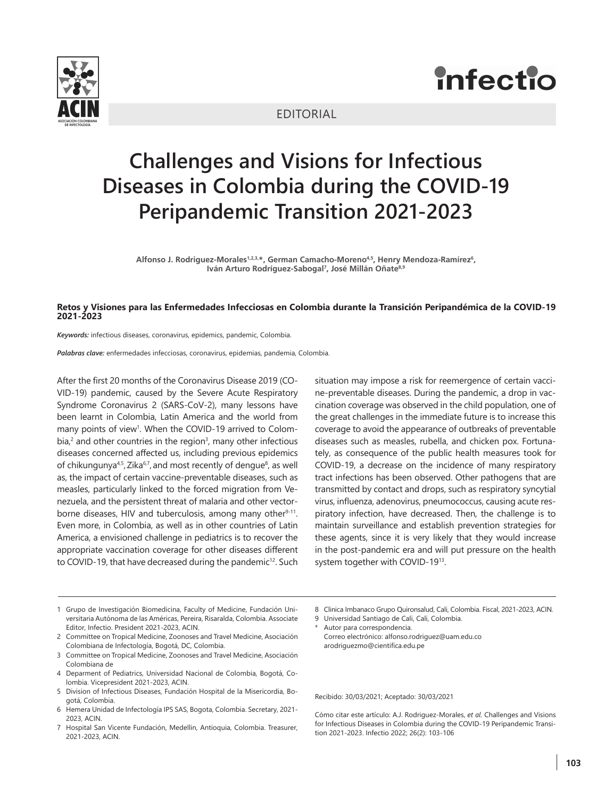





## **Challenges and Visions for Infectious Diseases in Colombia during the COVID-19 Peripandemic Transition 2021-2023**

Alfonso J. Rodriguez-Morales1,2,3,\*, German Camacho-Moreno<sup>4,5</sup>, Henry Mendoza-Ramírez<sup>6</sup>, Iván Arturo Rodríguez-Sabogal<sup>7</sup>, José Millán Oñate<sup>8,9</sup>

## **Retos y Visiones para las Enfermedades Infecciosas en Colombia durante la Transición Peripandémica de la COVID-19 2021-2023**

*Keywords:* infectious diseases, coronavirus, epidemics, pandemic, Colombia.

*Palabras clave:* enfermedades infecciosas, coronavirus, epidemias, pandemia, Colombia.

After the first 20 months of the Coronavirus Disease 2019 (CO-VID-19) pandemic, caused by the Severe Acute Respiratory Syndrome Coronavirus 2 (SARS-CoV-2), many lessons have been learnt in Colombia, Latin America and the world from many points of view<sup>1</sup>. When the COVID-19 arrived to Colombia, $<sup>2</sup>$  and other countries in the region<sup>3</sup>, many other infectious</sup> diseases concerned affected us, including previous epidemics of chikungunya<sup>4,5</sup>, Zika<sup>6,7</sup>, and most recently of dengue<sup>8</sup>, as well as, the impact of certain vaccine-preventable diseases, such as measles, particularly linked to the forced migration from Venezuela, and the persistent threat of malaria and other vectorborne diseases, HIV and tuberculosis, among many other<sup>9-11</sup>. Even more, in Colombia, as well as in other countries of Latin America, a envisioned challenge in pediatrics is to recover the appropriate vaccination coverage for other diseases different to COVID-19, that have decreased during the pandemic<sup>12</sup>. Such

situation may impose a risk for reemergence of certain vaccine-preventable diseases. During the pandemic, a drop in vaccination coverage was observed in the child population, one of the great challenges in the immediate future is to increase this coverage to avoid the appearance of outbreaks of preventable diseases such as measles, rubella, and chicken pox. Fortunately, as consequence of the public health measures took for COVID-19, a decrease on the incidence of many respiratory tract infections has been observed. Other pathogens that are transmitted by contact and drops, such as respiratory syncytial virus, influenza, adenovirus, pneumococcus, causing acute respiratory infection, have decreased. Then, the challenge is to maintain surveillance and establish prevention strategies for these agents, since it is very likely that they would increase in the post-pandemic era and will put pressure on the health system together with COVID-1913.

- 1 Grupo de Investigación Biomedicina, Faculty of Medicine, Fundación Universitaria Autónoma de las Américas, Pereira, Risaralda, Colombia. Associate Editor, Infectio. President 2021-2023, ACIN.
- 2 Committee on Tropical Medicine, Zoonoses and Travel Medicine, Asociación Colombiana de Infectología, Bogotá, DC, Colombia.
- 3 Committee on Tropical Medicine, Zoonoses and Travel Medicine, Asociación Colombiana de
- 4 Deparment of Pediatrics, Universidad Nacional de Colombia, Bogotá, Colombia. Vicepresident 2021-2023, ACIN.
- 5 Division of Infectious Diseases, Fundación Hospital de la Misericordia, Bogotá, Colombia.
- 6 Hemera Unidad de Infectología IPS SAS, Bogota, Colombia. Secretary, 2021- 2023, ACIN.
- 7 Hospital San Vicente Fundación, Medellin, Antioquia, Colombia. Treasurer, 2021-2023, ACIN.

8 Clinica Imbanaco Grupo Quironsalud, Cali, Colombia. Fiscal, 2021-2023, ACIN.

- 9 Universidad Santiago de Cali, Cali, Colombia.
- Autor para correspondencia.
- Correo electrónico: alfonso.rodriguez@uam.edu.co arodriguezmo@cientifica.edu.pe

Recibido: 30/03/2021; Aceptado: 30/03/2021

Cómo citar este artículo: A.J. Rodriguez-Morales, *et al*. Challenges and Visions for Infectious Diseases in Colombia during the COVID-19 Peripandemic Transition 2021-2023. Infectio 2022; 26(2): 103-106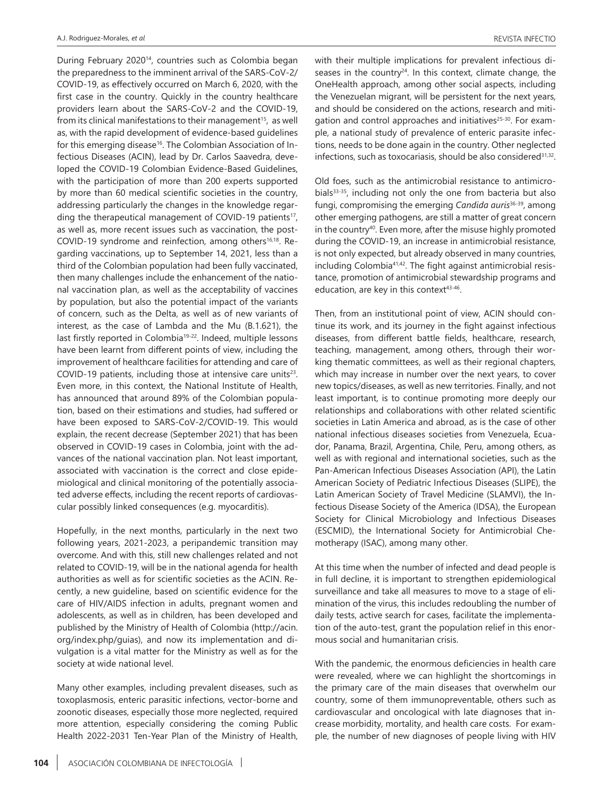During February 2020<sup>14</sup>, countries such as Colombia began the preparedness to the imminent arrival of the SARS-CoV-2/ COVID-19, as effectively occurred on March 6, 2020, with the first case in the country. Quickly in the country healthcare providers learn about the SARS-CoV-2 and the COVID-19, from its clinical manifestations to their management<sup>15</sup>, as well as, with the rapid development of evidence-based guidelines for this emerging disease<sup>16</sup>. The Colombian Association of Infectious Diseases (ACIN), lead by Dr. Carlos Saavedra, developed the COVID-19 Colombian Evidence-Based Guidelines, with the participation of more than 200 experts supported by more than 60 medical scientific societies in the country, addressing particularly the changes in the knowledge regarding the therapeutical management of COVID-19 patients<sup>17</sup>, as well as, more recent issues such as vaccination, the post-COVID-19 syndrome and reinfection, among others<sup>16,18</sup>. Regarding vaccinations, up to September 14, 2021, less than a third of the Colombian population had been fully vaccinated, then many challenges include the enhancement of the national vaccination plan, as well as the acceptability of vaccines by population, but also the potential impact of the variants of concern, such as the Delta, as well as of new variants of interest, as the case of Lambda and the Mu (B.1.621), the last firstly reported in Colombia<sup>19-22</sup>. Indeed, multiple lessons have been learnt from different points of view, including the improvement of healthcare facilities for attending and care of COVID-19 patients, including those at intensive care units $23$ . Even more, in this context, the National Institute of Health, has announced that around 89% of the Colombian population, based on their estimations and studies, had suffered or have been exposed to SARS-CoV-2/COVID-19. This would explain, the recent decrease (September 2021) that has been observed in COVID-19 cases in Colombia, joint with the advances of the national vaccination plan. Not least important, associated with vaccination is the correct and close epidemiological and clinical monitoring of the potentially associated adverse effects, including the recent reports of cardiovascular possibly linked consequences (e.g. myocarditis).

Hopefully, in the next months, particularly in the next two following years, 2021-2023, a peripandemic transition may overcome. And with this, still new challenges related and not related to COVID-19, will be in the national agenda for health authorities as well as for scientific societies as the ACIN. Recently, a new guideline, based on scientific evidence for the care of HIV/AIDS infection in adults, pregnant women and adolescents, as well as in children, has been developed and published by the Ministry of Health of Colombia (http://acin. org/index.php/guias), and now its implementation and divulgation is a vital matter for the Ministry as well as for the society at wide national level.

Many other examples, including prevalent diseases, such as toxoplasmosis, enteric parasitic infections, vector-borne and zoonotic diseases, especially those more neglected, required more attention, especially considering the coming Public Health 2022-2031 Ten-Year Plan of the Ministry of Health,

with their multiple implications for prevalent infectious diseases in the country<sup>24</sup>. In this context, climate change, the OneHealth approach, among other social aspects, including the Venezuelan migrant, will be persistent for the next years, and should be considered on the actions, research and mitigation and control approaches and initiatives<sup>25-30</sup>. For example, a national study of prevalence of enteric parasite infections, needs to be done again in the country. Other neglected infections, such as toxocariasis, should be also considered $31,32$ .

Old foes, such as the antimicrobial resistance to antimicrobials<sup>33-35</sup>, including not only the one from bacteria but also fungi, compromising the emerging *Candida auris*36-39, among other emerging pathogens, are still a matter of great concern in the country<sup>40</sup>. Even more, after the misuse highly promoted during the COVID-19, an increase in antimicrobial resistance, is not only expected, but already observed in many countries, including Colombia41,42. The fight against antimicrobial resistance, promotion of antimicrobial stewardship programs and education, are key in this context<sup>43-46</sup>.

Then, from an institutional point of view, ACIN should continue its work, and its journey in the fight against infectious diseases, from different battle fields, healthcare, research, teaching, management, among others, through their working thematic committees, as well as their regional chapters, which may increase in number over the next years, to cover new topics/diseases, as well as new territories. Finally, and not least important, is to continue promoting more deeply our relationships and collaborations with other related scientific societies in Latin America and abroad, as is the case of other national infectious diseases societies from Venezuela, Ecuador, Panama, Brazil, Argentina, Chile, Peru, among others, as well as with regional and international societies, such as the Pan-American Infectious Diseases Association (API), the Latin American Society of Pediatric Infectious Diseases (SLIPE), the Latin American Society of Travel Medicine (SLAMVI), the Infectious Disease Society of the America (IDSA), the European Society for Clinical Microbiology and Infectious Diseases (ESCMID), the International Society for Antimicrobial Chemotherapy (ISAC), among many other.

At this time when the number of infected and dead people is in full decline, it is important to strengthen epidemiological surveillance and take all measures to move to a stage of elimination of the virus, this includes redoubling the number of daily tests, active search for cases, facilitate the implementation of the auto-test, grant the population relief in this enormous social and humanitarian crisis.

With the pandemic, the enormous deficiencies in health care were revealed, where we can highlight the shortcomings in the primary care of the main diseases that overwhelm our country, some of them immunopreventable, others such as cardiovascular and oncological with late diagnoses that increase morbidity, mortality, and health care costs. For example, the number of new diagnoses of people living with HIV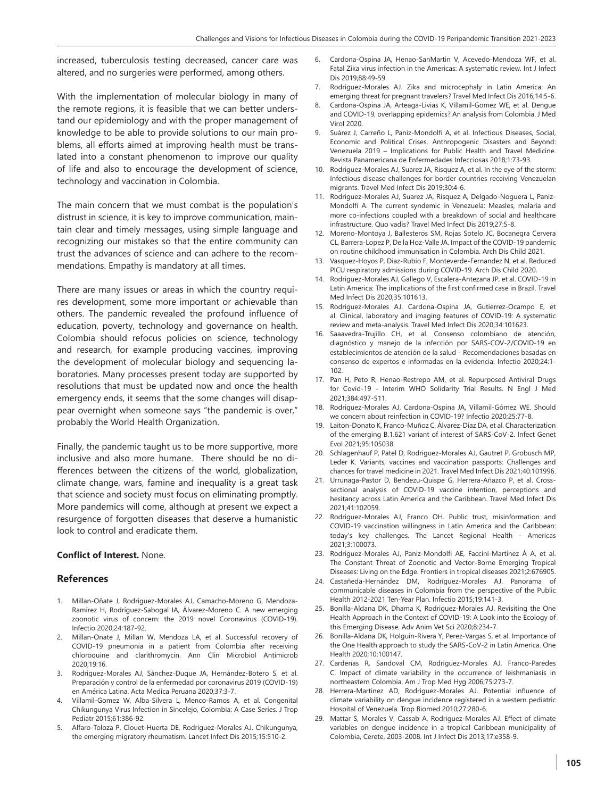increased, tuberculosis testing decreased, cancer care was altered, and no surgeries were performed, among others.

With the implementation of molecular biology in many of the remote regions, it is feasible that we can better understand our epidemiology and with the proper management of knowledge to be able to provide solutions to our main problems, all efforts aimed at improving health must be translated into a constant phenomenon to improve our quality of life and also to encourage the development of science, technology and vaccination in Colombia.

The main concern that we must combat is the population's distrust in science, it is key to improve communication, maintain clear and timely messages, using simple language and recognizing our mistakes so that the entire community can trust the advances of science and can adhere to the recommendations. Empathy is mandatory at all times.

There are many issues or areas in which the country requires development, some more important or achievable than others. The pandemic revealed the profound influence of education, poverty, technology and governance on health. Colombia should refocus policies on science, technology and research, for example producing vaccines, improving the development of molecular biology and sequencing laboratories. Many processes present today are supported by resolutions that must be updated now and once the health emergency ends, it seems that the some changes will disappear overnight when someone says "the pandemic is over," probably the World Health Organization.

Finally, the pandemic taught us to be more supportive, more inclusive and also more humane. There should be no differences between the citizens of the world, globalization, climate change, wars, famine and inequality is a great task that science and society must focus on eliminating promptly. More pandemics will come, although at present we expect a resurgence of forgotten diseases that deserve a humanistic look to control and eradicate them.

## **Conflict of Interest.** None.

## **References**

- 1. Millan-Oñate J, Rodríguez-Morales AJ, Camacho-Moreno G, Mendoza-Ramírez H, Rodríguez-Sabogal IA, Álvarez-Moreno C. A new emerging zoonotic virus of concern: the 2019 novel Coronavirus (COVID-19). Infectio 2020;24:187-92.
- 2. Millan-Onate J, Millan W, Mendoza LA, et al. Successful recovery of COVID-19 pneumonia in a patient from Colombia after receiving chloroquine and clarithromycin. Ann Clin Microbiol Antimicrob 2020;19:16.
- 3. Rodriguez-Morales AJ, Sánchez-Duque JA, Hernández-Botero S, et al. Preparación y control de la enfermedad por coronavirus 2019 (COVID-19) en América Latina. Acta Medica Peruana 2020;37:3-7.
- Villamil-Gomez W, Alba-Silvera L, Menco-Ramos A, et al. Congenital Chikungunya Virus Infection in Sincelejo, Colombia: A Case Series. J Trop Pediatr 2015;61:386-92.
- 5. Alfaro-Toloza P, Clouet-Huerta DE, Rodriguez-Morales AJ. Chikungunya, the emerging migratory rheumatism. Lancet Infect Dis 2015;15:510-2.
- 6. Cardona-Ospina JA, Henao-SanMartin V, Acevedo-Mendoza WF, et al. Fatal Zika virus infection in the Americas: A systematic review. Int J Infect Dis 2019;88:49-59.
- 7. Rodriguez-Morales AJ. Zika and microcephaly in Latin America: An emerging threat for pregnant travelers? Travel Med Infect Dis 2016;14:5-6.
- 8. Cardona-Ospina JA, Arteaga-Livias K, Villamil-Gomez WE, et al. Dengue and COVID-19, overlapping epidemics? An analysis from Colombia. J Med Virol 2020.
- 9. Suárez J, Carreño L, Paniz-Mondolfi A, et al. Infectious Diseases, Social, Economic and Political Crises, Anthropogenic Disasters and Beyond: Venezuela 2019 – Implications for Public Health and Travel Medicine. Revista Panamericana de Enfermedades Infecciosas 2018;1:73-93.
- 10. Rodriguez-Morales AJ, Suarez JA, Risquez A, et al. In the eye of the storm: Infectious disease challenges for border countries receiving Venezuelan migrants. Travel Med Infect Dis 2019;30:4-6.
- 11. Rodriguez-Morales AJ, Suarez JA, Risquez A, Delgado-Noguera L, Paniz-Mondolfi A. The current syndemic in Venezuela: Measles, malaria and more co-infections coupled with a breakdown of social and healthcare infrastructure. Quo vadis? Travel Med Infect Dis 2019;27:5-8.
- 12. Moreno-Montoya J, Ballesteros SM, Rojas Sotelo JC, Bocanegra Cervera CL, Barrera-Lopez P, De la Hoz-Valle JA. Impact of the COVID-19 pandemic on routine childhood immunisation in Colombia. Arch Dis Child 2021.
- 13. Vasquez-Hoyos P, Diaz-Rubio F, Monteverde-Fernandez N, et al. Reduced PICU respiratory admissions during COVID-19. Arch Dis Child 2020.
- 14. Rodriguez-Morales AJ, Gallego V, Escalera-Antezana JP, et al. COVID-19 in Latin America: The implications of the first confirmed case in Brazil. Travel Med Infect Dis 2020;35:101613.
- 15. Rodriguez-Morales AJ, Cardona-Ospina JA, Gutierrez-Ocampo E, et al. Clinical, laboratory and imaging features of COVID-19: A systematic review and meta-analysis. Travel Med Infect Dis 2020;34:101623.
- 16. Saaavedra-Trujillo CH, et al. Consenso colombiano de atención, diagnóstico y manejo de la infección por SARS-COV-2/COVID-19 en establecimientos de atención de la salud - Recomendaciones basadas en consenso de expertos e informadas en la evidencia. Infectio 2020;24:1- 102.
- 17. Pan H, Peto R, Henao-Restrepo AM, et al. Repurposed Antiviral Drugs for Covid-19 - Interim WHO Solidarity Trial Results. N Engl J Med 2021;384:497-511.
- 18. Rodriguez-Morales AJ, Cardona-Ospina JA, Villamil-Gómez WE. Should we concern about reinfection in COVID-19? Infectio 2020;25:77-8.
- 19. Laiton-Donato K, Franco-Muñoz C, Álvarez-Díaz DA, et al. Characterization of the emerging B.1.621 variant of interest of SARS-CoV-2. Infect Genet Evol 2021;95:105038.
- 20. Schlagenhauf P, Patel D, Rodriguez-Morales AJ, Gautret P, Grobusch MP, Leder K. Variants, vaccines and vaccination passports: Challenges and chances for travel medicine in 2021. Travel Med Infect Dis 2021;40:101996.
- 21. Urrunaga-Pastor D, Bendezu-Quispe G, Herrera-Añazco P, et al. Crosssectional analysis of COVID-19 vaccine intention, perceptions and hesitancy across Latin America and the Caribbean. Travel Med Infect Dis 2021;41:102059.
- 22. Rodriguez-Morales AJ, Franco OH. Public trust, misinformation and COVID-19 vaccination willingness in Latin America and the Caribbean: today's key challenges. The Lancet Regional Health - Americas 2021;3:100073.
- 23. Rodriguez-Morales AJ, Paniz-Mondolfi AE, Faccini-Martínez Á A, et al. The Constant Threat of Zoonotic and Vector-Borne Emerging Tropical Diseases: Living on the Edge. Frontiers in tropical diseases 2021;2:676905.
- 24. Castañeda-Hernández DM, Rodríguez-Morales AJ. Panorama of communicable diseases in Colombia from the perspective of the Public Health 2012-2021 Ten-Year Plan. Infectio 2015;19:141-3.
- 25. Bonilla-Aldana DK, Dhama K, Rodriguez-Morales AJ. Revisiting the One Health Approach in the Context of COVID-19: A Look into the Ecology of this Emerging Disease. Adv Anim Vet Sci 2020;8:234-7.
- 26. Bonilla-Aldana DK, Holguin-Rivera Y, Perez-Vargas S, et al. Importance of the One Health approach to study the SARS-CoV-2 in Latin America. One Health 2020;10:100147.
- 27. Cardenas R, Sandoval CM, Rodriguez-Morales AJ, Franco-Paredes C. Impact of climate variability in the occurrence of leishmaniasis in northeastern Colombia. Am J Trop Med Hyg 2006;75:273-7.
- 28. Herrera-Martinez AD, Rodriguez-Morales AJ. Potential influence of climate variability on dengue incidence registered in a western pediatric Hospital of Venezuela. Trop Biomed 2010;27:280-6.
- 29. Mattar S, Morales V, Cassab A, Rodriguez-Morales AJ. Effect of climate variables on dengue incidence in a tropical Caribbean municipality of Colombia, Cerete, 2003-2008. Int J Infect Dis 2013;17:e358-9.